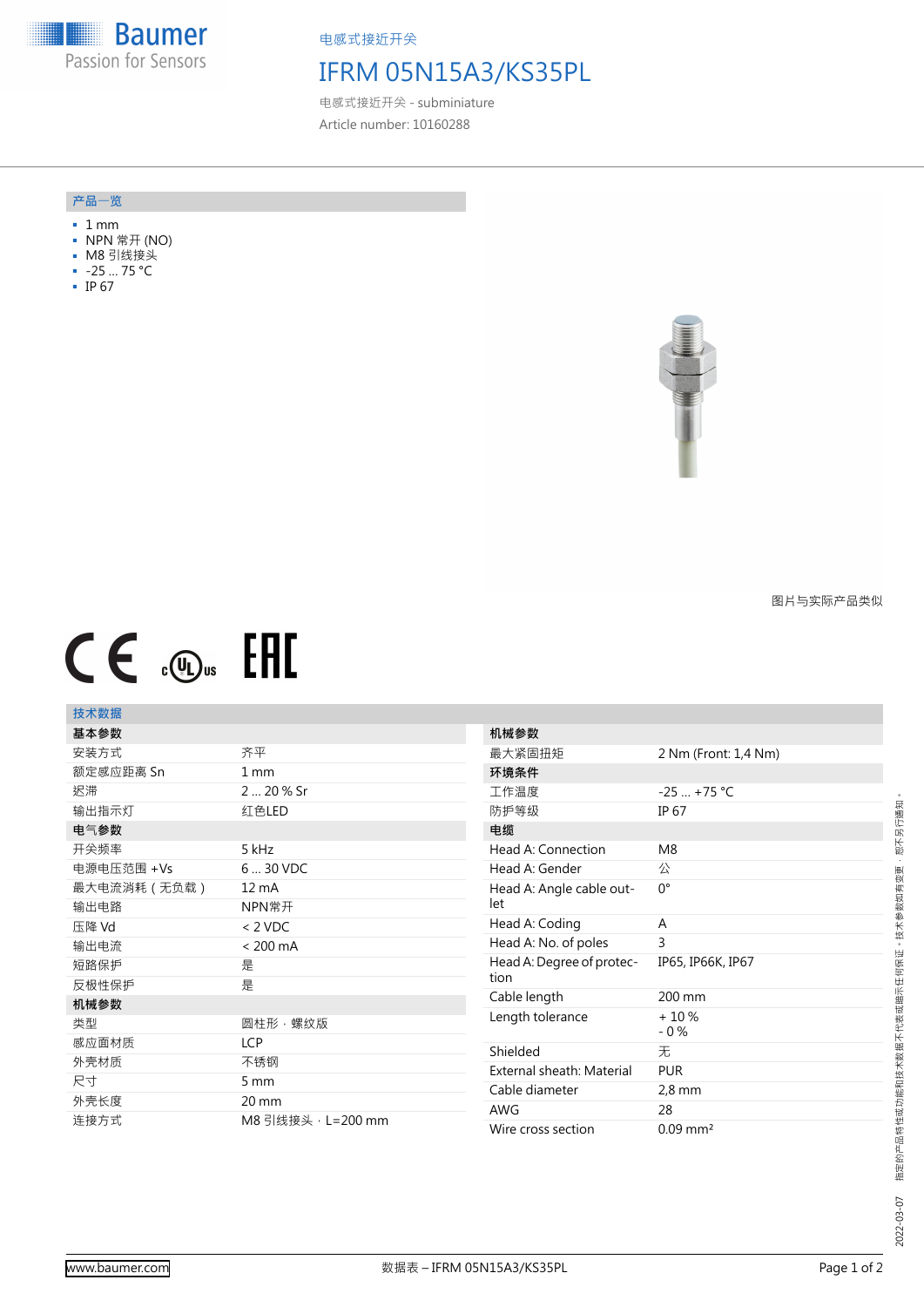**Baumer** Passion for Sensors

电感式接近开关

## IFRM 05N15A3/KS35PL

电感式接近开关 - subminiature Article number: 10160288

#### **产品**一**览**

- 1 mm
- NPN 常开 (NO)
- M8 引线接头
- -25 … 75 °C
- IP 67



图片与实际产品类似

# $CE \mathcal{L}$  (Dus FHI

### **技术数据**

| 基本参数        |                    |
|-------------|--------------------|
| 安装方式        | 齐平                 |
| 额定感应距离 Sn   | $1 \text{ mm}$     |
| 迟滞          | 2  20 % Sr         |
| 输出指示灯       | 红色LED              |
| 电气参数        |                    |
| 开关频率        | 5 kHz              |
| 电源电压范围 +Vs  | 6  30 VDC          |
| 最大电流消耗(无负载) | $12 \text{ mA}$    |
| 输出电路        | NPN常开              |
| 压降 Vd       | $< 2$ VDC          |
| 输出电流        | $< 200 \text{ mA}$ |
| 短路保护        | 是                  |
| 反极性保护       | 是                  |
| 机械参数        |                    |
| 类型          | 圆柱形,螺纹版            |
| 感应面材质       | <b>LCP</b>         |
| 外壳材质        | 不锈钢                |
|             | 5 mm               |
| 尺寸          |                    |
| 外壳长度        | 20 mm              |

| 机械参数                              |                        |
|-----------------------------------|------------------------|
| 最大紧固扭矩                            | 2 Nm (Front: 1,4 Nm)   |
| 环境条件                              |                        |
| 丁作温度                              | $-25$ +75 °C           |
| 防护等级                              | <b>IP 67</b>           |
| 电缆                                |                        |
| Head A: Connection                | M8                     |
| Head A: Gender                    | 公                      |
| Head A: Angle cable out-<br>let   | n°                     |
| Head A: Coding                    | A                      |
| Head A: No. of poles              | 3                      |
| Head A: Degree of protec-<br>tion | IP65, IP66K, IP67      |
| Cable length                      | 200 mm                 |
| Length tolerance                  | $+10%$<br>$-0\%$       |
| Shielded                          | 无                      |
| External sheath: Material         | <b>PUR</b>             |
| Cable diameter                    | $2,8$ mm               |
| <b>AWG</b>                        | 28                     |
| Wire cross section                | $0.09$ mm <sup>2</sup> |